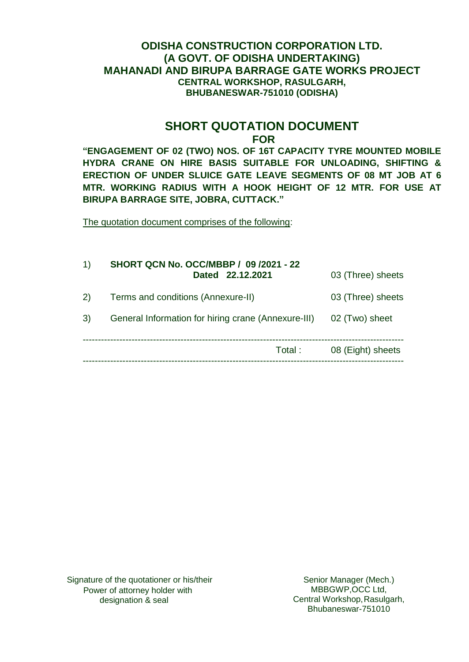# **ODISHA CONSTRUCTION CORPORATION LTD. (A GOVT. OF ODISHA UNDERTAKING) MAHANADI AND BIRUPA BARRAGE GATE WORKS PROJECT CENTRAL WORKSHOP, RASULGARH, BHUBANESWAR-751010 (ODISHA)**

## **SHORT QUOTATION DOCUMENT FOR**

**"ENGAGEMENT OF 02 (TWO) NOS. OF 16T CAPACITY TYRE MOUNTED MOBILE HYDRA CRANE ON HIRE BASIS SUITABLE FOR UNLOADING, SHIFTING & ERECTION OF UNDER SLUICE GATE LEAVE SEGMENTS OF 08 MT JOB AT 6 MTR. WORKING RADIUS WITH A HOOK HEIGHT OF 12 MTR. FOR USE AT BIRUPA BARRAGE SITE, JOBRA, CUTTACK."**

The quotation document comprises of the following:

| $\left( \left  \right  \right)$ | <b>SHORT QCN No. OCC/MBBP / 09 /2021 - 22</b><br>Dated 22.12.2021 | 03 (Three) sheets |
|---------------------------------|-------------------------------------------------------------------|-------------------|
| 2)                              | Terms and conditions (Annexure-II)                                | 03 (Three) sheets |
| 3)                              | General Information for hiring crane (Annexure-III)               | 02 (Two) sheet    |
|                                 | Total:                                                            | 08 (Eight) sheets |
|                                 |                                                                   |                   |

Senior Manager (Mech.) MBBGWP,OCC Ltd, Central Workshop,Rasulgarh, Bhubaneswar-751010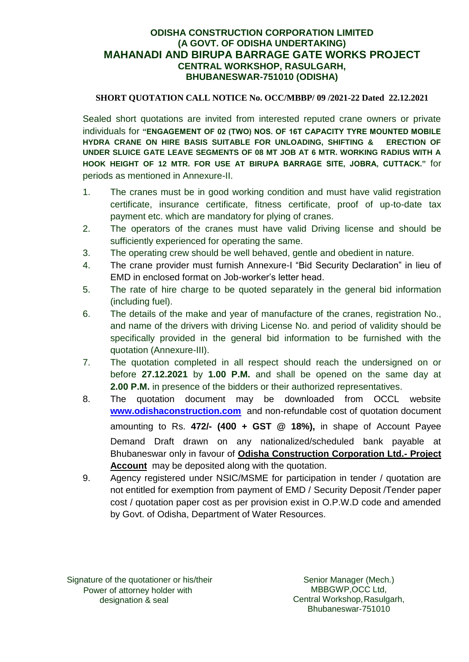## **ODISHA CONSTRUCTION CORPORATION LIMITED (A GOVT. OF ODISHA UNDERTAKING) MAHANADI AND BIRUPA BARRAGE GATE WORKS PROJECT CENTRAL WORKSHOP, RASULGARH, BHUBANESWAR-751010 (ODISHA)**

### **SHORT QUOTATION CALL NOTICE No. OCC/MBBP/ 09 /2021-22 Dated 22.12.2021**

Sealed short quotations are invited from interested reputed crane owners or private individuals for **"ENGAGEMENT OF 02 (TWO) NOS. OF 16T CAPACITY TYRE MOUNTED MOBILE HYDRA CRANE ON HIRE BASIS SUITABLE FOR UNLOADING, SHIFTING & ERECTION OF UNDER SLUICE GATE LEAVE SEGMENTS OF 08 MT JOB AT 6 MTR. WORKING RADIUS WITH A HOOK HEIGHT OF 12 MTR. FOR USE AT BIRUPA BARRAGE SITE, JOBRA, CUTTACK."** for periods as mentioned in Annexure-II.

- 1. The cranes must be in good working condition and must have valid registration certificate, insurance certificate, fitness certificate, proof of up-to-date tax payment etc. which are mandatory for plying of cranes.
- 2. The operators of the cranes must have valid Driving license and should be sufficiently experienced for operating the same.
- 3. The operating crew should be well behaved, gentle and obedient in nature.
- 4. The crane provider must furnish Annexure-I "Bid Security Declaration" in lieu of EMD in enclosed format on Job-worker's letter head.
- 5. The rate of hire charge to be quoted separately in the general bid information (including fuel).
- 6. The details of the make and year of manufacture of the cranes, registration No., and name of the drivers with driving License No. and period of validity should be specifically provided in the general bid information to be furnished with the quotation (Annexure-III).
- 7. The quotation completed in all respect should reach the undersigned on or before **27.12.2021** by **1.00 P.M.** and shall be opened on the same day at **2.00 P.M.** in presence of the bidders or their authorized representatives.
- 8. The quotation document may be downloaded from OCCL website **[www.odishaconstruction.com](http://www.odishaconstruction.com/)** and non-refundable cost of quotation document amounting to Rs. **472/- (400 + GST @ 18%),** in shape of Account Payee Demand Draft drawn on any nationalized/scheduled bank payable at Bhubaneswar only in favour of **Odisha Construction Corporation Ltd.- Project Account** may be deposited along with the quotation.
- 9. Agency registered under NSIC/MSME for participation in tender / quotation are not entitled for exemption from payment of EMD / Security Deposit /Tender paper cost / quotation paper cost as per provision exist in O.P.W.D code and amended by Govt. of Odisha, Department of Water Resources.

 Signature of the quotationer or his/their Power of attorney holder with designation & seal

Senior Manager (Mech.) MBBGWP,OCC Ltd, Central Workshop,Rasulgarh, Bhubaneswar-751010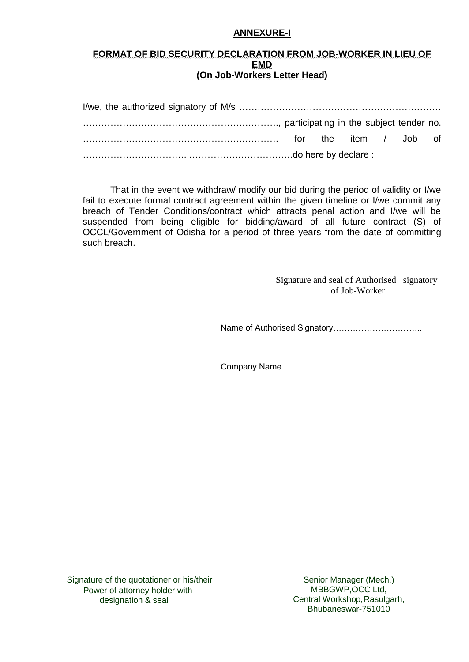#### **ANNEXURE-I**

### **FORMAT OF BID SECURITY DECLARATION FROM JOB-WORKER IN LIEU OF EMD (On Job-Workers Letter Head)**

That in the event we withdraw/ modify our bid during the period of validity or I/we fail to execute formal contract agreement within the given timeline or I/we commit any breach of Tender Conditions/contract which attracts penal action and I/we will be suspended from being eligible for bidding/award of all future contract (S) of OCCL/Government of Odisha for a period of three years from the date of committing such breach.

> Signature and seal of Authorised signatory of Job-Worker

Name of Authorised Signatory…………………………..

Company Name……………………………………………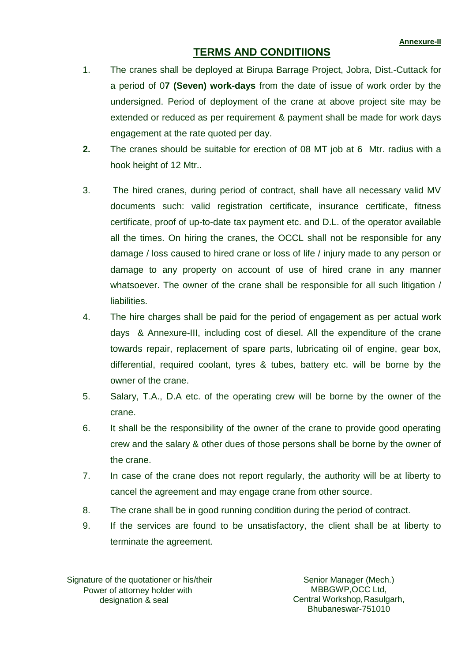# **TERMS AND CONDITIIONS**

- 1. The cranes shall be deployed at Birupa Barrage Project, Jobra, Dist.-Cuttack for a period of 0**7 (Seven) work-days** from the date of issue of work order by the undersigned. Period of deployment of the crane at above project site may be extended or reduced as per requirement & payment shall be made for work days engagement at the rate quoted per day.
- **2.** The cranes should be suitable for erection of 08 MT job at 6 Mtr. radius with a hook height of 12 Mtr..
- 3. The hired cranes, during period of contract, shall have all necessary valid MV documents such: valid registration certificate, insurance certificate, fitness certificate, proof of up-to-date tax payment etc. and D.L. of the operator available all the times. On hiring the cranes, the OCCL shall not be responsible for any damage / loss caused to hired crane or loss of life / injury made to any person or damage to any property on account of use of hired crane in any manner whatsoever. The owner of the crane shall be responsible for all such litigation / liabilities.
- 4. The hire charges shall be paid for the period of engagement as per actual work days & Annexure-III, including cost of diesel. All the expenditure of the crane towards repair, replacement of spare parts, lubricating oil of engine, gear box, differential, required coolant, tyres & tubes, battery etc. will be borne by the owner of the crane.
- 5. Salary, T.A., D.A etc. of the operating crew will be borne by the owner of the crane.
- 6. It shall be the responsibility of the owner of the crane to provide good operating crew and the salary & other dues of those persons shall be borne by the owner of the crane.
- 7. In case of the crane does not report regularly, the authority will be at liberty to cancel the agreement and may engage crane from other source.
- 8. The crane shall be in good running condition during the period of contract.
- 9. If the services are found to be unsatisfactory, the client shall be at liberty to terminate the agreement.

 Signature of the quotationer or his/their Power of attorney holder with designation & seal

Senior Manager (Mech.) MBBGWP,OCC Ltd, Central Workshop, Rasulgarh, Bhubaneswar-751010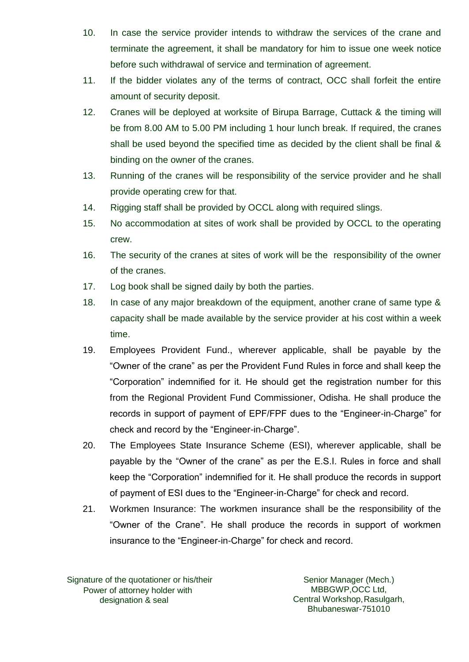- 10. In case the service provider intends to withdraw the services of the crane and terminate the agreement, it shall be mandatory for him to issue one week notice before such withdrawal of service and termination of agreement.
- 11. If the bidder violates any of the terms of contract, OCC shall forfeit the entire amount of security deposit.
- 12. Cranes will be deployed at worksite of Birupa Barrage, Cuttack & the timing will be from 8.00 AM to 5.00 PM including 1 hour lunch break. If required, the cranes shall be used beyond the specified time as decided by the client shall be final & binding on the owner of the cranes.
- 13. Running of the cranes will be responsibility of the service provider and he shall provide operating crew for that.
- 14. Rigging staff shall be provided by OCCL along with required slings.
- 15. No accommodation at sites of work shall be provided by OCCL to the operating crew.
- 16. The security of the cranes at sites of work will be the responsibility of the owner of the cranes.
- 17. Log book shall be signed daily by both the parties.
- 18. In case of any major breakdown of the equipment, another crane of same type & capacity shall be made available by the service provider at his cost within a week time.
- 19. Employees Provident Fund., wherever applicable, shall be payable by the "Owner of the crane" as per the Provident Fund Rules in force and shall keep the "Corporation" indemnified for it. He should get the registration number for this from the Regional Provident Fund Commissioner, Odisha. He shall produce the records in support of payment of EPF/FPF dues to the "Engineer-in-Charge" for check and record by the "Engineer-in-Charge".
- 20. The Employees State Insurance Scheme (ESI), wherever applicable, shall be payable by the "Owner of the crane" as per the E.S.I. Rules in force and shall keep the "Corporation" indemnified for it. He shall produce the records in support of payment of ESI dues to the "Engineer-in-Charge" for check and record.
- 21. Workmen Insurance: The workmen insurance shall be the responsibility of the "Owner of the Crane". He shall produce the records in support of workmen insurance to the "Engineer-in-Charge" for check and record.

 Signature of the quotationer or his/their Power of attorney holder with designation & seal

Senior Manager (Mech.) MBBGWP,OCC Ltd, Central Workshop, Rasulgarh, Bhubaneswar-751010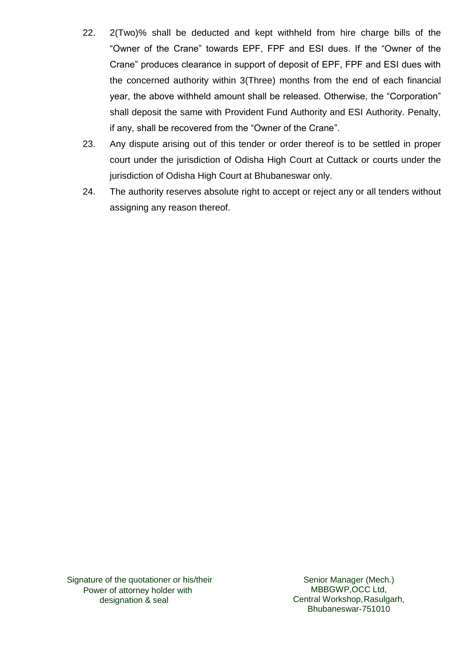- 22. 2(Two)% shall be deducted and kept withheld from hire charge bills of the "Owner of the Crane" towards EPF, FPF and ESI dues. If the "Owner of the Crane" produces clearance in support of deposit of EPF, FPF and ESI dues with the concerned authority within 3(Three) months from the end of each financial year, the above withheld amount shall be released. Otherwise, the "Corporation" shall deposit the same with Provident Fund Authority and ESI Authority. Penalty, if any, shall be recovered from the "Owner of the Crane".
- 23. Any dispute arising out of this tender or order thereof is to be settled in proper court under the jurisdiction of Odisha High Court at Cuttack or courts under the jurisdiction of Odisha High Court at Bhubaneswar only.
- 24. The authority reserves absolute right to accept or reject any or all tenders without assigning any reason thereof.

Senior Manager (Mech.) MBBGWP,OCC Ltd, Central Workshop, Rasulgarh, Bhubaneswar-751010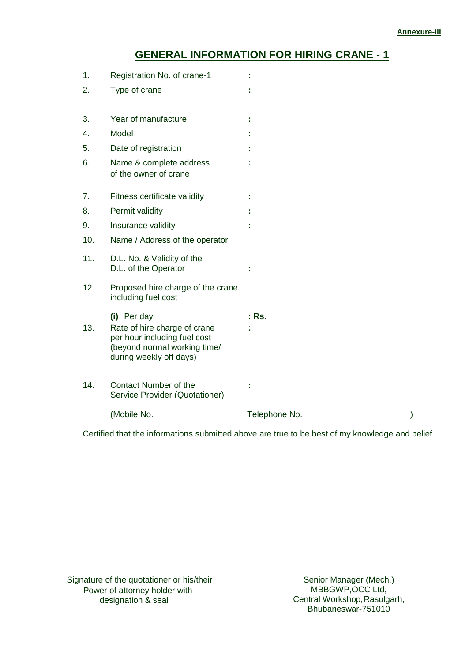# **GENERAL INFORMATION FOR HIRING CRANE - 1**

| 1.  | Registration No. of crane-1                                                                                                            |               |  |
|-----|----------------------------------------------------------------------------------------------------------------------------------------|---------------|--|
| 2.  | Type of crane                                                                                                                          |               |  |
| 3.  | Year of manufacture                                                                                                                    |               |  |
| 4.  | Model                                                                                                                                  |               |  |
| 5.  | Date of registration                                                                                                                   |               |  |
| 6.  | Name & complete address<br>of the owner of crane                                                                                       |               |  |
| 7.  | Fitness certificate validity                                                                                                           |               |  |
| 8.  | Permit validity                                                                                                                        |               |  |
| 9.  | Insurance validity                                                                                                                     |               |  |
| 10. | Name / Address of the operator                                                                                                         |               |  |
| 11. | D.L. No. & Validity of the<br>D.L. of the Operator                                                                                     |               |  |
| 12. | Proposed hire charge of the crane<br>including fuel cost                                                                               |               |  |
| 13. | (i) Per day<br>Rate of hire charge of crane<br>per hour including fuel cost<br>(beyond normal working time/<br>during weekly off days) | : Rs.         |  |
| 14. | <b>Contact Number of the</b><br>Service Provider (Quotationer)                                                                         |               |  |
|     | (Mobile No.                                                                                                                            | Telephone No. |  |

Certified that the informations submitted above are true to be best of my knowledge and belief.